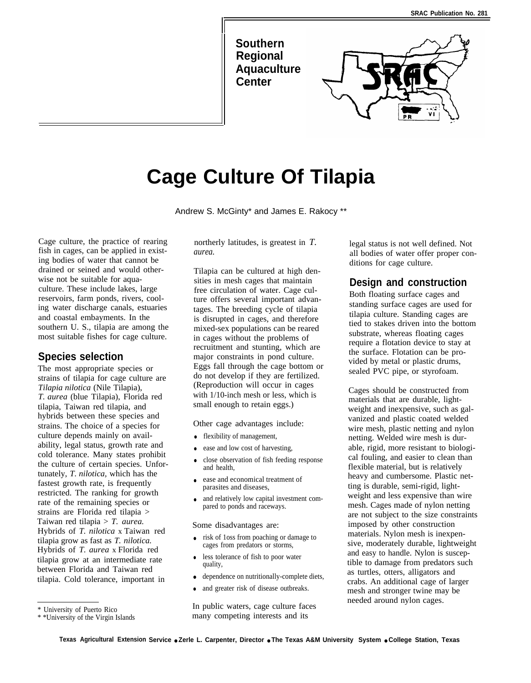**Southern Regional Aquaculture Center**

I



# **Cage Culture Of Tilapia**

Andrew S. McGinty\* and James E. Rakocy \*\*

Cage culture, the practice of rearing fish in cages, can be applied in existing bodies of water that cannot be drained or seined and would otherwise not be suitable for aquaculture. These include lakes, large reservoirs, farm ponds, rivers, cooling water discharge canals, estuaries and coastal embayments. In the southern U. S., tilapia are among the most suitable fishes for cage culture.

## **Species selection**

The most appropriate species or strains of tilapia for cage culture are *Tilapia nilotica* (Nile Tilapia), *T. aurea* (blue Tilapia), Florida red tilapia, Taiwan red tilapia, and hybrids between these species and strains. The choice of a species for culture depends mainly on availability, legal status, growth rate and cold tolerance. Many states prohibit the culture of certain species. Unfortunately, *T. nilotica,* which has the fastest growth rate, is frequently restricted. The ranking for growth rate of the remaining species or strains are Florida red tilapia > Taiwan red tilapia > *T. aurea.* Hybrids of *T. nilotica* x Taiwan red tilapia grow as fast as *T. nilotica.* Hybrids of *T. aurea* x Florida red tilapia grow at an intermediate rate between Florida and Taiwan red tilapia. Cold tolerance, important in

northerly latitudes, is greatest in *T. aurea.*

Tilapia can be cultured at high densities in mesh cages that maintain free circulation of water. Cage culture offers several important advantages. The breeding cycle of tilapia is disrupted in cages, and therefore mixed-sex populations can be reared in cages without the problems of recruitment and stunting, which are major constraints in pond culture. Eggs fall through the cage bottom or do not develop if they are fertilized. (Reproduction will occur in cages with 1/10-inch mesh or less, which is small enough to retain eggs.)

Other cage advantages include:

- flexibility of management,
- ease and low cost of harvesting,
- close observation of fish feeding response and health
- ease and economical treatment of parasites and diseases,
- and relatively low capital investment compared to ponds and raceways.

Some disadvantages are:

- risk of 1oss from poaching or damage to cages from predators or storms,
- less tolerance of fish to poor water quality,
- dependence on nutritionally-complete diets,
- $\bullet$ and greater risk of disease outbreaks.

In public waters, cage culture faces many competing interests and its

legal status is not well defined. Not all bodies of water offer proper conditions for cage culture.

#### **Design and construction**

Both floating surface cages and standing surface cages are used for tilapia culture. Standing cages are tied to stakes driven into the bottom substrate, whereas floating cages require a flotation device to stay at the surface. Flotation can be provided by metal or plastic drums, sealed PVC pipe, or styrofoam.

Cages should be constructed from materials that are durable, lightweight and inexpensive, such as galvanized and plastic coated welded wire mesh, plastic netting and nylon netting. Welded wire mesh is durable, rigid, more resistant to biological fouling, and easier to clean than flexible material, but is relatively heavy and cumbersome. Plastic netting is durable, semi-rigid, lightweight and less expensive than wire mesh. Cages made of nylon netting are not subject to the size constraints imposed by other construction materials. Nylon mesh is inexpensive, moderately durable, lightweight and easy to handle. Nylon is susceptible to damage from predators such as turtles, otters, alligators and crabs. An additional cage of larger mesh and stronger twine may be needed around nylon cages.

<sup>\*</sup> University of Puerto Rico

<sup>\* \*</sup>University of the Virgin Islands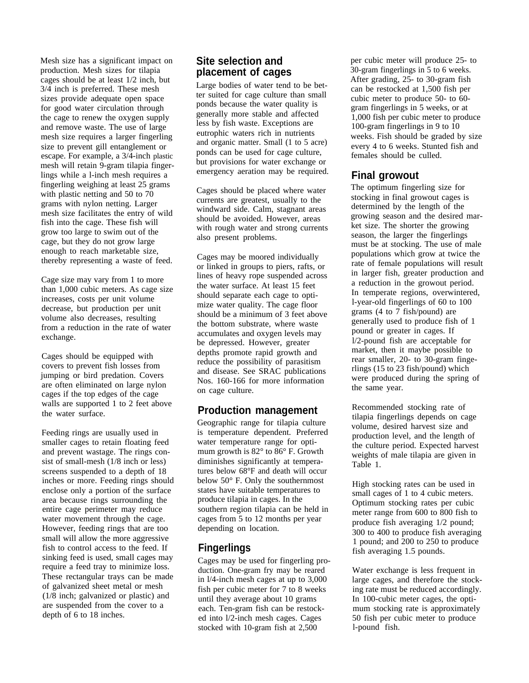Mesh size has a significant impact on production. Mesh sizes for tilapia cages should be at least 1/2 inch, but 3/4 inch is preferred. These mesh sizes provide adequate open space for good water circulation through the cage to renew the oxygen supply and remove waste. The use of large mesh size requires a larger fingerling size to prevent gill entanglement or escape. For example, a 3/4-inch plastic mesh will retain 9-gram tilapia fingerlings while a l-inch mesh requires a fingerling weighing at least 25 grams with plastic netting and 50 to 70 grams with nylon netting. Larger mesh size facilitates the entry of wild fish into the cage. These fish will grow too large to swim out of the cage, but they do not grow large enough to reach marketable size, thereby representing a waste of feed.

Cage size may vary from 1 to more than 1,000 cubic meters. As cage size increases, costs per unit volume decrease, but production per unit volume also decreases, resulting from a reduction in the rate of water exchange.

Cages should be equipped with covers to prevent fish losses from jumping or bird predation. Covers are often eliminated on large nylon cages if the top edges of the cage walls are supported 1 to 2 feet above the water surface.

Feeding rings are usually used in smaller cages to retain floating feed and prevent wastage. The rings consist of small-mesh (1/8 inch or less) screens suspended to a depth of 18 inches or more. Feeding rings should enclose only a portion of the surface area because rings surrounding the entire cage perimeter may reduce water movement through the cage. However, feeding rings that are too small will allow the more aggressive fish to control access to the feed. If sinking feed is used, small cages may require a feed tray to minimize loss. These rectangular trays can be made of galvanized sheet metal or mesh (1/8 inch; galvanized or plastic) and are suspended from the cover to a depth of 6 to 18 inches.

## **Site selection and placement of cages**

Large bodies of water tend to be better suited for cage culture than small ponds because the water quality is generally more stable and affected less by fish waste. Exceptions are eutrophic waters rich in nutrients and organic matter. Small (1 to 5 acre) ponds can be used for cage culture, but provisions for water exchange or emergency aeration may be required.

Cages should be placed where water currents are greatest, usually to the windward side. Calm, stagnant areas should be avoided. However, areas with rough water and strong currents also present problems.

Cages may be moored individually or linked in groups to piers, rafts, or lines of heavy rope suspended across the water surface. At least 15 feet should separate each cage to optimize water quality. The cage floor should be a minimum of 3 feet above the bottom substrate, where waste accumulates and oxygen levels may be depressed. However, greater depths promote rapid growth and reduce the possibility of parasitism and disease. See SRAC publications Nos. 160-166 for more information on cage culture.

## **Production management**

Geographic range for tilapia culture is temperature dependent. Preferred water temperature range for optimum growth is 82° to 86° F. Growth diminishes significantly at temperatures below 68°F and death will occur below 50° F. Only the southernmost states have suitable temperatures to produce tilapia in cages. In the southern region tilapia can be held in cages from 5 to 12 months per year depending on location.

# **Fingerlings**

Cages may be used for fingerling production. One-gram fry may be reared in l/4-inch mesh cages at up to 3,000 fish per cubic meter for 7 to 8 weeks until they average about 10 grams each. Ten-gram fish can be restocked into l/2-inch mesh cages. Cages stocked with 10-gram fish at 2,500

per cubic meter will produce 25- to 30-gram fingerlings in 5 to 6 weeks. After grading, 25- to 30-gram fish can be restocked at 1,500 fish per cubic meter to produce 50- to 60 gram fingerlings in 5 weeks, or at 1,000 fish per cubic meter to produce 100-gram fingerlings in 9 to 10 weeks. Fish should be graded by size every 4 to 6 weeks. Stunted fish and females should be culled.

## **Final growout**

The optimum fingerling size for stocking in final growout cages is determined by the length of the growing season and the desired market size. The shorter the growing season, the larger the fingerlings must be at stocking. The use of male populations which grow at twice the rate of female populations will result in larger fish, greater production and a reduction in the growout period. In temperate regions, overwintered, l-year-old fingerlings of 60 to 100 grams (4 to 7 fish/pound) are generally used to produce fish of 1 pound or greater in cages. If l/2-pound fish are acceptable for market, then it maybe possible to rear smaller, 20- to 30-gram fingerlings (15 to 23 fish/pound) which were produced during the spring of the same year.

Recommended stocking rate of tilapia fingerlings depends on cage volume, desired harvest size and production level, and the length of the culture period. Expected harvest weights of male tilapia are given in Table 1.

High stocking rates can be used in small cages of 1 to 4 cubic meters. Optimum stocking rates per cubic meter range from 600 to 800 fish to produce fish averaging 1/2 pound; 300 to 400 to produce fish averaging 1 pound; and 200 to 250 to produce fish averaging 1.5 pounds.

Water exchange is less frequent in large cages, and therefore the stocking rate must be reduced accordingly. In 100-cubic meter cages, the optimum stocking rate is approximately 50 fish per cubic meter to produce l-pound fish.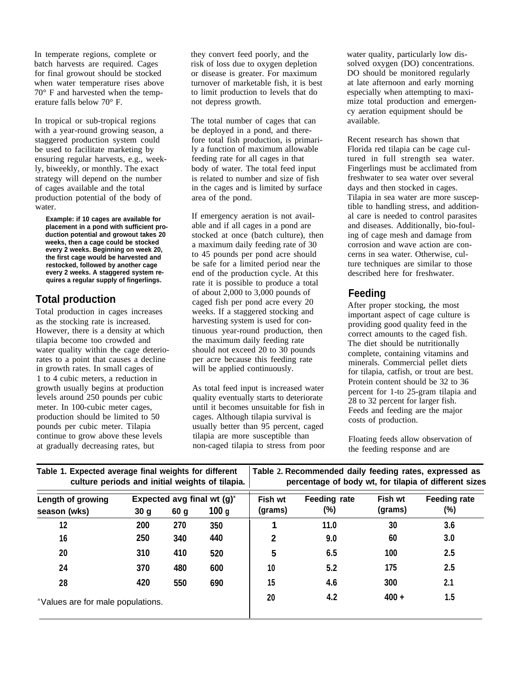In temperate regions, complete or batch harvests are required. Cages for final growout should be stocked when water temperature rises above 70° F and harvested when the temperature falls below 70° F.

In tropical or sub-tropical regions with a year-round growing season, a staggered production system could be used to facilitate marketing by ensuring regular harvests, e.g., weekly, biweekly, or monthly. The exact strategy will depend on the number of cages available and the total production potential of the body of water.

**Example: if 10 cages are available for placement in a pond with sufficient production potential and growout takes 20 weeks, then a cage could be stocked every 2 weeks. Beginning on week 20, the first cage would be harvested and restocked, followed by another cage every 2 weeks. A staggered system requires a regular supply of fingerlings.**

# **Total production**

Total production in cages increases as the stocking rate is increased. However, there is a density at which tilapia become too crowded and water quality within the cage deteriorates to a point that causes a decline in growth rates. In small cages of 1 to 4 cubic meters, a reduction in growth usually begins at production levels around 250 pounds per cubic meter. In 100-cubic meter cages, production should be limited to 50 pounds per cubic meter. Tilapia continue to grow above these levels at gradually decreasing rates, but

they convert feed poorly, and the risk of loss due to oxygen depletion or disease is greater. For maximum turnover of marketable fish, it is best to limit production to levels that do not depress growth.

The total number of cages that can be deployed in a pond, and therefore total fish production, is primarily a function of maximum allowable feeding rate for all cages in that body of water. The total feed input is related to number and size of fish in the cages and is limited by surface area of the pond.

If emergency aeration is not available and if all cages in a pond are stocked at once (batch culture), then a maximum daily feeding rate of 30 to 45 pounds per pond acre should be safe for a limited period near the end of the production cycle. At this rate it is possible to produce a total of about 2,000 to 3,000 pounds of caged fish per pond acre every 20 weeks. If a staggered stocking and harvesting system is used for continuous year-round production, then the maximum daily feeding rate should not exceed 20 to 30 pounds per acre because this feeding rate will be applied continuously.

As total feed input is increased water quality eventually starts to deteriorate until it becomes unsuitable for fish in cages. Although tilapia survival is usually better than 95 percent, caged tilapia are more susceptible than non-caged tilapia to stress from poor water quality, particularly low dissolved oxygen (DO) concentrations. DO should be monitored regularly at late afternoon and early morning especially when attempting to maximize total production and emergency aeration equipment should be available.

Recent research has shown that Florida red tilapia can be cage cultured in full strength sea water. Fingerlings must be acclimated from freshwater to sea water over several days and then stocked in cages. Tilapia in sea water are more susceptible to handling stress, and additional care is needed to control parasites and diseases. Additionally, bio-fouling of cage mesh and damage from corrosion and wave action are concerns in sea water. Otherwise, culture techniques are similar to those described here for freshwater.

## **Feeding**

After proper stocking, the most important aspect of cage culture is providing good quality feed in the correct amounts to the caged fish. The diet should be nutritionally complete, containing vitamins and minerals. Commercial pellet diets for tilapia, catfish, or trout are best. Protein content should be 32 to 36 percent for 1-to 25-gram tilapia and 28 to 32 percent for larger fish. Feeds and feeding are the major costs of production.

Floating feeds allow observation of the feeding response and are

| Table 1. Expected average final weights for different | Table 2. Recommended daily feeding rates, expressed as |
|-------------------------------------------------------|--------------------------------------------------------|
| culture periods and initial weights of tilapia.       | percentage of body wt, for tilapia of different sizes  |

| Length of growing                             | Expected avg final wt (g) <sup>a</sup> |      |       | Fish wt | <b>Feeding rate</b> | Fish wt | <b>Feeding rate</b> |
|-----------------------------------------------|----------------------------------------|------|-------|---------|---------------------|---------|---------------------|
| season (wks)                                  | 30 <sub>g</sub>                        | 60 g | 100 g | (grams) | (%)                 | (grams) | $(\%)$              |
| 12                                            | 200                                    | 270  | 350   |         | 11.0                | 30      | 3.6                 |
| 16                                            | 250                                    | 340  | 440   | 2       | 9.0                 | 60      | 3.0                 |
| 20                                            | 310                                    | 410  | 520   | 5       | 6.5                 | 100     | 2.5                 |
| 24                                            | 370                                    | 480  | 600   | 10      | 5.2                 | 175     | 2.5                 |
| 28                                            | 420                                    | 550  | 690   | 15      | 4.6                 | 300     | 2.1                 |
| <sup>a</sup> Values are for male populations. |                                        |      |       | 20      | 4.2                 | $400 +$ | 1.5                 |